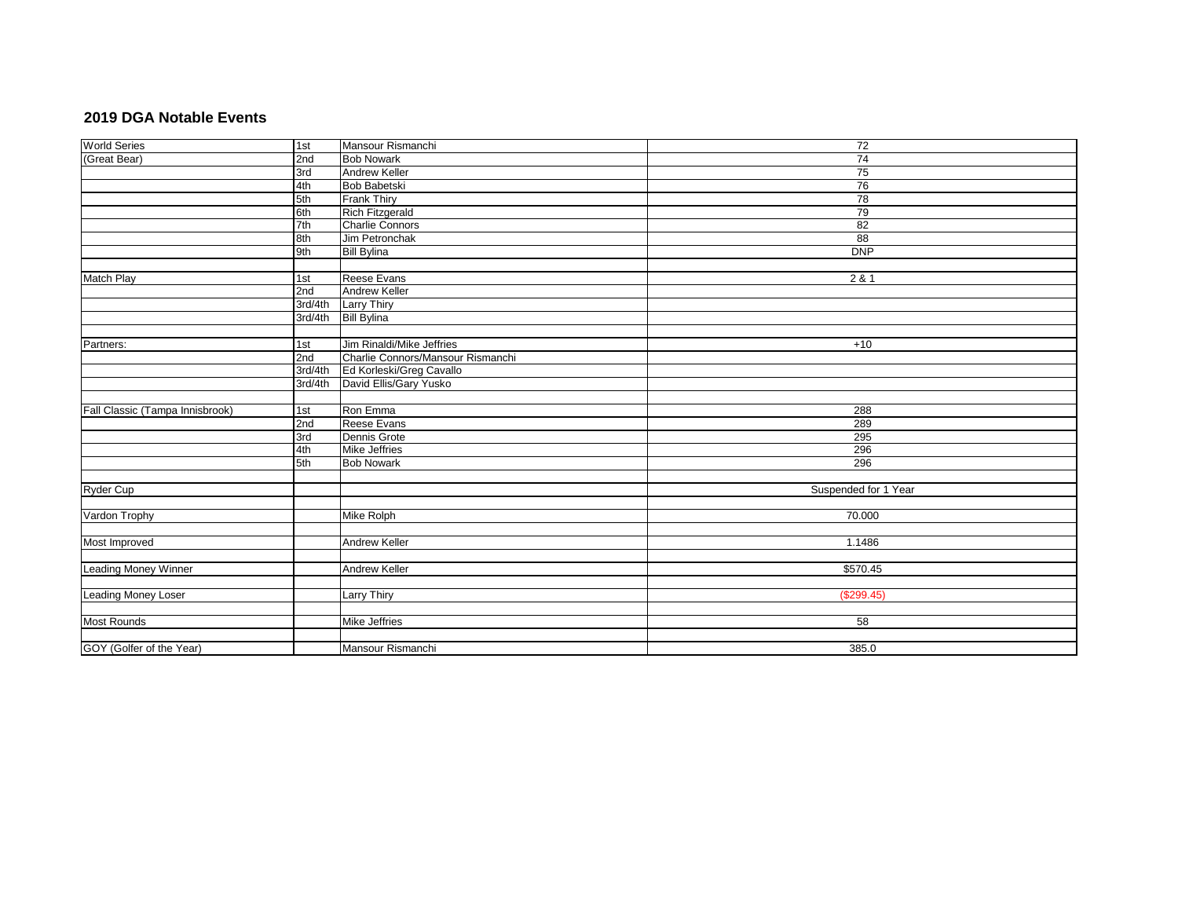## **2019 DGA Notable Events**

| <b>World Series</b>             | 1st     | Mansour Rismanchi                 | $\overline{72}$      |
|---------------------------------|---------|-----------------------------------|----------------------|
| (Great Bear)                    | 2nd     | <b>Bob Nowark</b>                 | $\overline{74}$      |
|                                 | 3rd     | <b>Andrew Keller</b>              | 75                   |
|                                 | 4th     | <b>Bob Babetski</b>               | 76                   |
|                                 | 5th     | Frank Thiry                       | 78                   |
|                                 | 6th     | Rich Fitzgerald                   | 79                   |
|                                 | 7th     | <b>Charlie Connors</b>            | $\overline{82}$      |
|                                 | 8th     | Jim Petronchak                    | 88                   |
|                                 | 9th     | <b>Bill Bylina</b>                | DNP                  |
|                                 |         |                                   |                      |
| Match Play                      | 1st     | Reese Evans                       | 2 & 1                |
|                                 | 2nd     | <b>Andrew Keller</b>              |                      |
|                                 | 3rd/4th | <b>Larry Thiry</b>                |                      |
|                                 | 3rd/4th | <b>Bill Bylina</b>                |                      |
|                                 |         |                                   |                      |
| Partners:                       | 1st     | Jim Rinaldi/Mike Jeffries         | $+10$                |
|                                 | 2nd     | Charlie Connors/Mansour Rismanchi |                      |
|                                 | 3rd/4th | Ed Korleski/Greg Cavallo          |                      |
|                                 | 3rd/4th | David Ellis/Gary Yusko            |                      |
|                                 |         |                                   |                      |
| Fall Classic (Tampa Innisbrook) | 1st     | Ron Emma                          | 288                  |
|                                 | 2nd     | Reese Evans                       | 289                  |
|                                 | 3rd     | Dennis Grote                      | 295                  |
|                                 | 4th     | <b>Mike Jeffries</b>              | 296                  |
|                                 | 5th     | <b>Bob Nowark</b>                 | 296                  |
|                                 |         |                                   |                      |
| <b>Ryder Cup</b>                |         |                                   | Suspended for 1 Year |
|                                 |         |                                   |                      |
| Vardon Trophy                   |         | <b>Mike Rolph</b>                 | 70.000               |
|                                 |         |                                   |                      |
| Most Improved                   |         | <b>Andrew Keller</b>              | 1.1486               |
|                                 |         |                                   |                      |
| Leading Money Winner            |         | Andrew Keller                     | \$570.45             |
|                                 |         |                                   |                      |
| <b>Leading Money Loser</b>      |         | <b>Larry Thiry</b>                | (\$299.45)           |
|                                 |         |                                   |                      |
| <b>Most Rounds</b>              |         | <b>Mike Jeffries</b>              | 58                   |
|                                 |         |                                   |                      |
| GOY (Golfer of the Year)        |         | Mansour Rismanchi                 | 385.0                |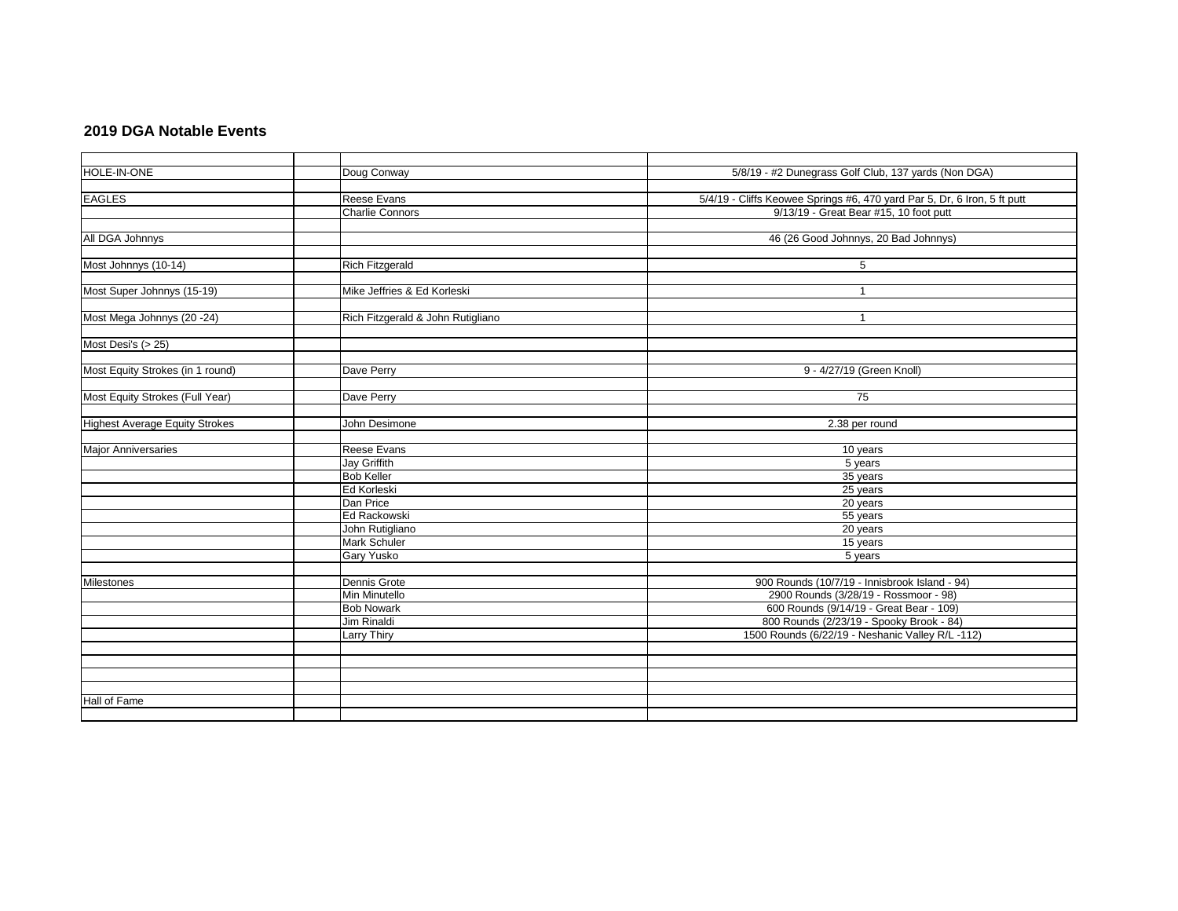## **2019 DGA Notable Events**

| HOLE-IN-ONE                           | Doug Conway                       | 5/8/19 - #2 Dunegrass Golf Club, 137 yards (Non DGA)                     |
|---------------------------------------|-----------------------------------|--------------------------------------------------------------------------|
|                                       |                                   |                                                                          |
| <b>EAGLES</b>                         | Reese Evans                       | 5/4/19 - Cliffs Keowee Springs #6, 470 yard Par 5, Dr, 6 Iron, 5 ft putt |
|                                       | <b>Charlie Connors</b>            | 9/13/19 - Great Bear #15, 10 foot putt                                   |
|                                       |                                   |                                                                          |
| All DGA Johnnys                       |                                   | 46 (26 Good Johnnys, 20 Bad Johnnys)                                     |
|                                       |                                   |                                                                          |
| Most Johnnys (10-14)                  | <b>Rich Fitzgerald</b>            | 5                                                                        |
|                                       |                                   |                                                                          |
| Most Super Johnnys (15-19)            | Mike Jeffries & Ed Korleski       | $\overline{1}$                                                           |
|                                       |                                   |                                                                          |
| Most Mega Johnnys (20 -24)            | Rich Fitzgerald & John Rutigliano | $\overline{\mathbf{1}}$                                                  |
|                                       |                                   |                                                                          |
| Most Desi's (> 25)                    |                                   |                                                                          |
|                                       |                                   |                                                                          |
| Most Equity Strokes (in 1 round)      | Dave Perry                        | 9 - 4/27/19 (Green Knoll)                                                |
|                                       |                                   |                                                                          |
| Most Equity Strokes (Full Year)       | Dave Perry                        | 75                                                                       |
|                                       |                                   |                                                                          |
| <b>Highest Average Equity Strokes</b> | John Desimone                     | 2.38 per round                                                           |
|                                       |                                   |                                                                          |
| <b>Major Anniversaries</b>            | Reese Evans                       | 10 years                                                                 |
|                                       | <b>Jay Griffith</b>               | 5 years                                                                  |
|                                       | <b>Bob Keller</b>                 | 35 years                                                                 |
|                                       | Ed Korleski                       | 25 years                                                                 |
|                                       | Dan Price                         | 20 years                                                                 |
|                                       | Ed Rackowski                      | 55 years                                                                 |
|                                       | John Rutigliano                   | 20 years                                                                 |
|                                       | Mark Schuler                      | 15 years                                                                 |
|                                       | Gary Yusko                        | 5 years                                                                  |
|                                       |                                   |                                                                          |
| <b>Milestones</b>                     | Dennis Grote                      | 900 Rounds (10/7/19 - Innisbrook Island - 94)                            |
|                                       | Min Minutello                     | 2900 Rounds (3/28/19 - Rossmoor - 98)                                    |
|                                       | <b>Bob Nowark</b>                 | 600 Rounds (9/14/19 - Great Bear - 109)                                  |
|                                       | Jim Rinaldi                       | 800 Rounds (2/23/19 - Spooky Brook - 84)                                 |
|                                       | Larry Thiry                       | 1500 Rounds (6/22/19 - Neshanic Valley R/L -112)                         |
|                                       |                                   |                                                                          |
|                                       |                                   |                                                                          |
|                                       |                                   |                                                                          |
|                                       |                                   |                                                                          |
| Hall of Fame                          |                                   |                                                                          |
|                                       |                                   |                                                                          |